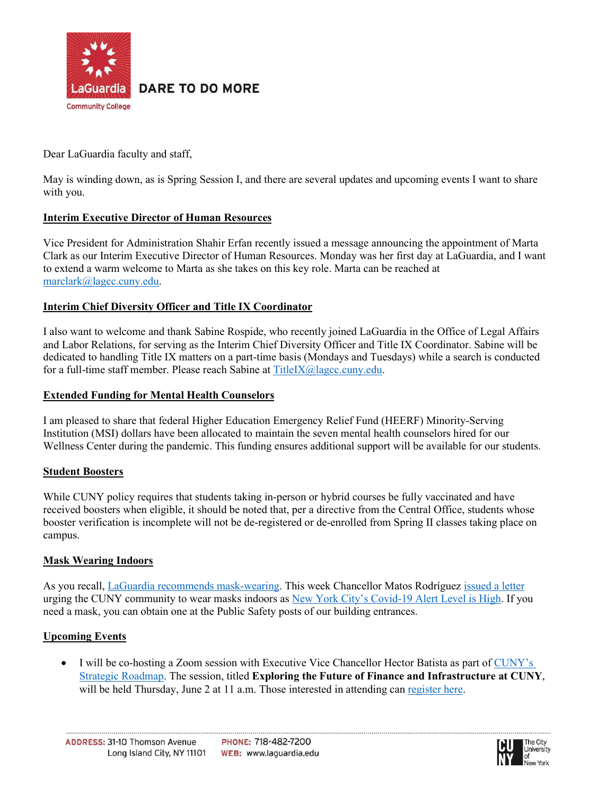

**DARE TO DO MORE** 

Dear LaGuardia faculty and staff,

May is winding down, as is Spring Session I, and there are several updates and upcoming events I want to share with you.

# **Interim Executive Director of Human Resources**

Vice President for Administration Shahir Erfan recently issued a message announcing the appointment of Marta Clark as our Interim Executive Director of Human Resources. Monday was her first day at LaGuardia, and I want to extend a warm welcome to Marta as she takes on this key role. Marta can be reached at [marclark@lagcc.cuny.edu.](mailto:marclark@lagcc.cuny.edu)

# **Interim Chief Diversity Officer and Title IX Coordinator**

I also want to welcome and thank Sabine Rospide, who recently joined LaGuardia in the Office of Legal Affairs and Labor Relations, for serving as the Interim Chief Diversity Officer and Title IX Coordinator. Sabine will be dedicated to handling Title IX matters on a part-time basis (Mondays and Tuesdays) while a search is conducted for a full-time staff member. Please reach Sabine at [TitleIX@lagcc.cuny.edu.](mailto:TitleIX@lagcc.cuny.edu)

### **Extended Funding for Mental Health Counselors**

I am pleased to share that federal Higher Education Emergency Relief Fund (HEERF) Minority-Serving Institution (MSI) dollars have been allocated to maintain the seven mental health counselors hired for our Wellness Center during the pandemic. This funding ensures additional support will be available for our students.

## **Student Boosters**

While CUNY policy requires that students taking in-person or hybrid courses be fully vaccinated and have received boosters when eligible, it should be noted that, per a directive from the Central Office, students whose booster verification is incomplete will not be de-registered or de-enrolled from Spring II classes taking place on campus.

## **Mask Wearing Indoors**

As you recall, [LaGuardia recommends mask-wearing.](https://www.laguardia.edu/uploadedfiles/main_site/content/student_services/health_services/campus-update-april-13-2022.pdf) This week Chancellor Matos Rodríguez [issued a letter](https://www.cuny.edu/coronavirus/university-updates/mask-wearing-indoors/) urging the CUNY community to wear masks indoors as [New York City's Covid-19 Alert Level is High.](https://www1.nyc.gov/site/doh/covid/covid-19-alert-levels.page) If you need a mask, you can obtain one at the Public Safety posts of our building entrances.

## **Upcoming Events**

• I will be co-hosting a Zoom session with Executive Vice Chancellor Hector Batista as part of [CUNY's](https://www.cuny.edu/about/chancellor/cuny-strategic-roadmap/) [Strategic Roadmap.](https://www.cuny.edu/about/chancellor/cuny-strategic-roadmap/) The session, titled **Exploring the Future of Finance and Infrastructure at CUNY**, will be held Thursday, June 2 at 11 a.m. Those interested in attending can [register here.](https://forms.office.com/pages/responsepage.aspx?id=s_BgbwZfCU6XFZiduozH2KrCPcXp-FlKq5oh9UNoMXdUNURNREc0MkVJV0tMS0YwQkZPVlg5QlU1Ny4u)